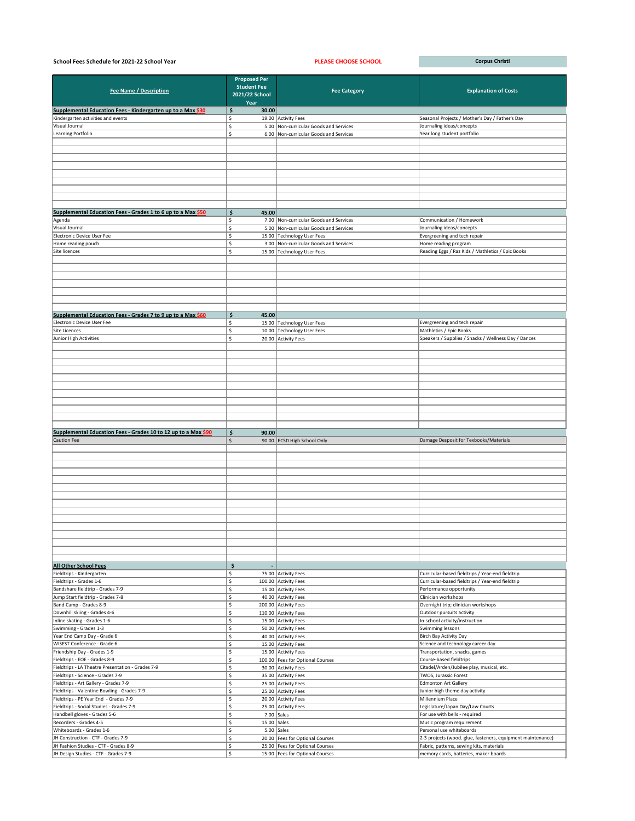| School Fees Schedule for 2021-22 School Year                                               |                                                                     | <b>PLEASE CHOOSE SCHOOL</b>                                        | <b>Corpus Christi</b>                                                                                   |
|--------------------------------------------------------------------------------------------|---------------------------------------------------------------------|--------------------------------------------------------------------|---------------------------------------------------------------------------------------------------------|
| <b>Fee Name / Description</b>                                                              | <b>Proposed Per</b><br><b>Student Fee</b><br>2021/22 School<br>Year | <b>Fee Category</b>                                                | <b>Explanation of Costs</b>                                                                             |
| Supplemental Education Fees - Kindergarten up to a Max \$30                                | \$<br>30.00                                                         |                                                                    |                                                                                                         |
| Kindergarten activities and events                                                         | Ś.                                                                  | 19.00 Activity Fees                                                | Seasonal Projects / Mother's Day / Father's Day                                                         |
| Visual Journal                                                                             | \$                                                                  | 5.00 Non-curricular Goods and Services                             | Journaling ideas/concepts                                                                               |
| Learning Portfolio                                                                         | \$                                                                  | 6.00 Non-curricular Goods and Services                             | Year long student portfolio                                                                             |
|                                                                                            |                                                                     |                                                                    |                                                                                                         |
|                                                                                            |                                                                     |                                                                    |                                                                                                         |
|                                                                                            |                                                                     |                                                                    |                                                                                                         |
|                                                                                            |                                                                     |                                                                    |                                                                                                         |
|                                                                                            |                                                                     |                                                                    |                                                                                                         |
|                                                                                            |                                                                     |                                                                    |                                                                                                         |
|                                                                                            |                                                                     |                                                                    |                                                                                                         |
| Supplemental Education Fees - Grades 1 to 6 up to a Max \$50                               | \$<br>45.00                                                         |                                                                    |                                                                                                         |
| Agenda                                                                                     | \$                                                                  | 7.00 Non-curricular Goods and Services                             | Communication / Homework                                                                                |
| Visual Journal                                                                             | Ŝ.                                                                  | 5.00 Non-curricular Goods and Services                             | Journaling ideas/concepts                                                                               |
| Electronic Device User Fee                                                                 | Ś.                                                                  | 15.00 Technology User Fees                                         | Evergreening and tech repair                                                                            |
| Home reading pouch<br>Site licences                                                        | \$                                                                  | 3.00 Non-curricular Goods and Services                             | Home reading program                                                                                    |
|                                                                                            | \$                                                                  | 15.00 Technology User Fees                                         | Reading Eggs / Raz Kids / Mathletics / Epic Books                                                       |
|                                                                                            |                                                                     |                                                                    |                                                                                                         |
|                                                                                            |                                                                     |                                                                    |                                                                                                         |
|                                                                                            |                                                                     |                                                                    |                                                                                                         |
|                                                                                            |                                                                     |                                                                    |                                                                                                         |
|                                                                                            |                                                                     |                                                                    |                                                                                                         |
|                                                                                            |                                                                     |                                                                    |                                                                                                         |
| Supplemental Education Fees - Grades 7 to 9 up to a Max \$60<br>Electronic Device User Fee | \$<br>45.00<br>\$                                                   | 15.00 Technology User Fees                                         | Evergreening and tech repair                                                                            |
| Site Licences                                                                              | \$<br>10.00                                                         | Technology User Fees                                               | Mathletics / Epic Books                                                                                 |
| Junior High Activities                                                                     | \$                                                                  | 20.00 Activity Fees                                                | Speakers / Supplies / Snacks / Wellness Day / Dances                                                    |
|                                                                                            |                                                                     |                                                                    |                                                                                                         |
|                                                                                            |                                                                     |                                                                    |                                                                                                         |
|                                                                                            |                                                                     |                                                                    |                                                                                                         |
|                                                                                            |                                                                     |                                                                    |                                                                                                         |
|                                                                                            |                                                                     |                                                                    |                                                                                                         |
|                                                                                            |                                                                     |                                                                    |                                                                                                         |
|                                                                                            |                                                                     |                                                                    |                                                                                                         |
|                                                                                            |                                                                     |                                                                    |                                                                                                         |
|                                                                                            |                                                                     |                                                                    |                                                                                                         |
|                                                                                            |                                                                     |                                                                    |                                                                                                         |
| Supplemental Education Fees - Grades 10 to 12 up to a Max \$90<br><b>Caution Fee</b>       | \$<br>90.00<br>\$                                                   | 90.00 ECSD High School Only                                        | Damage Desposit for Texbooks/Materials                                                                  |
|                                                                                            |                                                                     |                                                                    |                                                                                                         |
|                                                                                            |                                                                     |                                                                    |                                                                                                         |
|                                                                                            |                                                                     |                                                                    |                                                                                                         |
|                                                                                            |                                                                     |                                                                    |                                                                                                         |
|                                                                                            |                                                                     |                                                                    |                                                                                                         |
|                                                                                            |                                                                     |                                                                    |                                                                                                         |
|                                                                                            |                                                                     |                                                                    |                                                                                                         |
|                                                                                            |                                                                     |                                                                    |                                                                                                         |
|                                                                                            |                                                                     |                                                                    |                                                                                                         |
|                                                                                            |                                                                     |                                                                    |                                                                                                         |
|                                                                                            |                                                                     |                                                                    |                                                                                                         |
|                                                                                            |                                                                     |                                                                    |                                                                                                         |
|                                                                                            |                                                                     |                                                                    |                                                                                                         |
| <b>All Other School Fees</b>                                                               | \$                                                                  |                                                                    |                                                                                                         |
| Fieldtrips - Kindergarten                                                                  | \$                                                                  | 75.00 Activity Fees                                                | Curricular-based fieldtrips / Year-end fieldtrip                                                        |
| Fieldtrips - Grades 1-6                                                                    | \$                                                                  | 100.00 Activity Fees                                               | Curricular-based fieldtrips / Year-end fieldtrip                                                        |
| Bandshare fieldtrip - Grades 7-9                                                           | \$                                                                  | 15.00 Activity Fees                                                | Performance opportunity                                                                                 |
| Jump Start fieldtrip - Grades 7-8                                                          | \$                                                                  | 40.00 Activity Fees                                                | Clinician workshops                                                                                     |
| Band Camp - Grades 8-9                                                                     | \$                                                                  | 200.00 Activity Fees                                               | Overnight trip; clinician workshops                                                                     |
| Downhill skiing - Grades 4-6<br>Inline skating - Grades 1-6                                | Ś.<br>\$                                                            | 110.00 Activity Fees<br>15.00 Activity Fees                        | Outdoor pursuits activity<br>In-school activity/instruction                                             |
| Swimming - Grades 1-3                                                                      | \$                                                                  | 50.00 Activity Fees                                                | Swimming lessons                                                                                        |
| Year End Camp Day - Grade 6                                                                | \$                                                                  | 40.00 Activity Fees                                                | Birch Bay Activity Day                                                                                  |
| WISEST Conference - Grade 6                                                                | \$                                                                  | 15.00 Activity Fees                                                | Science and technology career day                                                                       |
| Friendship Day - Grades 1-9                                                                | \$.                                                                 | 15.00 Activity Fees                                                | Transportation, snacks, games                                                                           |
| Fieldtrips - EOE - Grades 8-9                                                              | Ś.                                                                  | 100.00   Fees for Optional Courses                                 | Course-based fieldtrips                                                                                 |
| Fieldtrips - LA Theatre Presentation - Grades 7-9                                          | Ś.                                                                  | 30.00 Activity Fees                                                | Citadel/Arden/Jubilee play, musical, etc.                                                               |
| Fieldtrips - Science - Grades 7-9<br>Fieldtrips - Art Gallery - Grades 7-9                 | \$<br>\$                                                            | 35.00 Activity Fees<br>25.00 Activity Fees                         | TWOS, Jurassic Forest<br><b>Edmonton Art Gallery</b>                                                    |
| Fieldtrips - Valentine Bowling - Grades 7-9                                                | \$                                                                  | 25.00 Activity Fees                                                | Junior high theme day activity                                                                          |
| Fieldtrips - PE Year End - Grades 7-9                                                      | Ś.                                                                  | 20.00 Activity Fees                                                | Millennium Place                                                                                        |
| Fieldtrips - Social Studies - Grades 7-9                                                   | Ś.                                                                  | 25.00 Activity Fees                                                | Legislature/Japan Day/Law Courts                                                                        |
| Handbell gloves - Grades 5-6                                                               | \$                                                                  | 7.00 $\vert$ Sales                                                 | For use with bells - required                                                                           |
| Recorders - Grades 4-5                                                                     | \$<br>15.00 $Sales$                                                 |                                                                    | Music program requirement                                                                               |
| Whiteboards - Grades 1-6                                                                   | \$                                                                  | $5.00$ Sales                                                       | Personal use whiteboards                                                                                |
| JH Construction - CTF - Grades 7-9<br>JH Fashion Studies - CTF - Grades 8-9                | \$<br>\$                                                            | 20.00 Fees for Optional Courses<br>25.00 Fees for Optional Courses | 2-3 projects (wood. glue, fasteners, equipment maintenance)<br>Fabric, patterns, sewing kits, materials |
| JH Design Studies - CTF - Grades 7-9                                                       | $\ddot{\mathsf{S}}$                                                 | 15.00 Fees for Optional Courses                                    | memory cards, batteries, maker boards                                                                   |